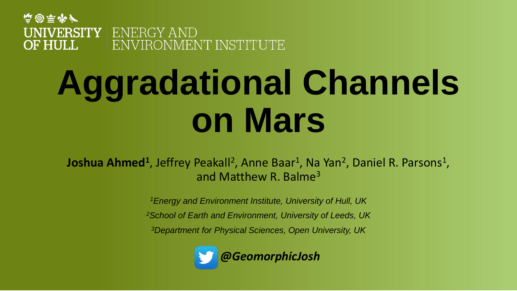**南國馬市产 UNIVERSITY** ENERGY AND **OF HULL** ENVIRONMENT INSTITUTE

# **Aggradational Channels on Mars**

Joshua Ahmed<sup>1</sup>, Jeffrey Peakall<sup>2</sup>, Anne Baar<sup>1</sup>, Na Yan<sup>2</sup>, Daniel R. Parsons<sup>1</sup>, and Matthew R. Balme<sup>3</sup>

*<sup>1</sup>Energy and Environment Institute, University of Hull, UK*

*<sup>2</sup>School of Earth and Environment, University of Leeds, UK*

*<sup>3</sup>Department for Physical Sciences, Open University, UK*

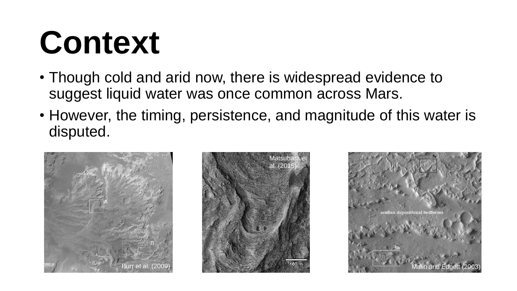#### **Context**

- Though cold and arid now, there is widespread evidence to suggest liquid water was once common across Mars.
- However, the timing, persistence, and magnitude of this water is disputed.





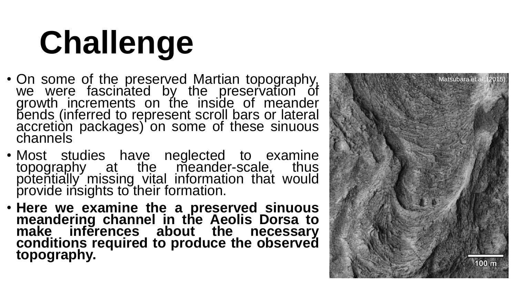# **Challenge**

- On some of the preserved Martian topography, we were fascinated by the preservation of growth increments on the inside of meander bends (inferred to represent scroll bars or lateral accretion packages) on some of these sinuous channels
- Most studies have neglected to examine topography at the meander -scale, thus potentially missing vital information that would provide insights to their formation.
- **Here we examine the a preserved sinuous meandering channel in the Aeolis Dorsa to make inferences about the necessary conditions required to produce the observed topography.**

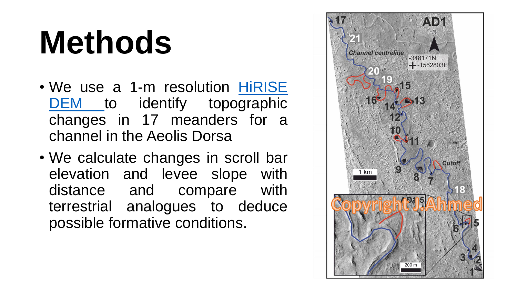### **Methods**

- We use a 1-m resolution HiRISE DEM to identify [topographic](https://hirise.lpl.arizona.edu/) changes in 17 meanders for a channel in the Aeolis Dorsa
- We calculate changes in scroll bar elevation and levee slope with distance and compare with terrestrial analogues to deduce possible formative conditions.

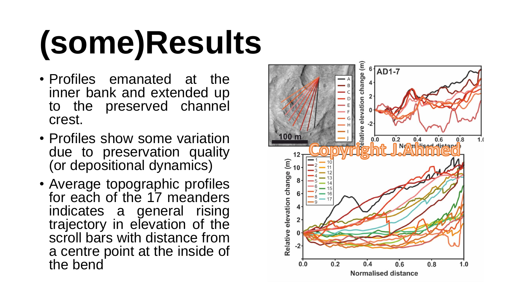# **(some)Results**

- Profiles emanated at the inner bank and extended up to the preserved channel crest.
- Profiles show some variation due to preservation quality (or depositional dynamics)
- Average topographic profiles for each of the 17 meanders indicates a general rising trajectory in elevation of the scroll bars with distance from a centre point at the inside of the bend

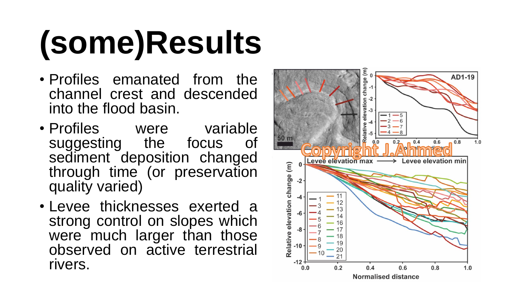# **(some)Results**

- Profiles emanated from the channel crest and descended into the flood basin.
- Profiles were variable suggesting the focus of sediment deposition changed through time (or preservation quality varied)
- Levee thicknesses exerted a strong control on slopes which were much larger than those observed on active terrestrial rivers.

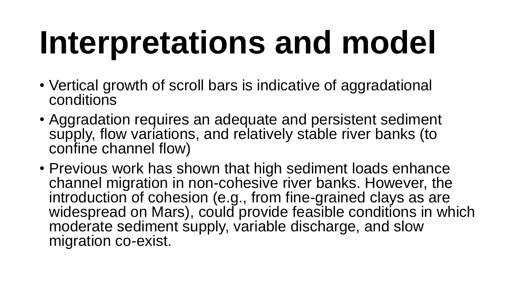## **Interpretations and model**

- Vertical growth of scroll bars is indicative of aggradational conditions
- Aggradation requires an adequate and persistent sediment supply, flow variations, and relatively stable river banks (to confine channel flow)
- Previous work has shown that high sediment loads enhance channel migration in non-cohesive river banks. However, the introduction of cohesion (e.g., from fine-grained clays as are widespread on Mars), could provide feasible conditions in which moderate sediment supply, variable discharge, and slow migration co-exist.